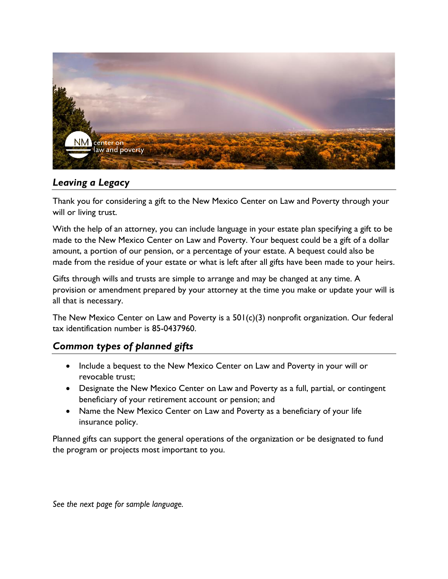

## *Leaving a Legacy*

Thank you for considering a gift to the New Mexico Center on Law and Poverty through your will or living trust.

With the help of an attorney, you can include language in your estate plan specifying a gift to be made to the New Mexico Center on Law and Poverty. Your bequest could be a gift of a dollar amount, a portion of our pension, or a percentage of your estate. A bequest could also be made from the residue of your estate or what is left after all gifts have been made to your heirs.

Gifts through wills and trusts are simple to arrange and may be changed at any time. A provision or amendment prepared by your attorney at the time you make or update your will is all that is necessary.

The New Mexico Center on Law and Poverty is a 501(c)(3) nonprofit organization. Our federal tax identification number is 85-0437960.

# *Common types of planned gifts*

- Include a bequest to the New Mexico Center on Law and Poverty in your will or revocable trust;
- Designate the New Mexico Center on Law and Poverty as a full, partial, or contingent beneficiary of your retirement account or pension; and
- Name the New Mexico Center on Law and Poverty as a beneficiary of your life insurance policy.

Planned gifts can support the general operations of the organization or be designated to fund the program or projects most important to you.

*See the next page for sample language.*